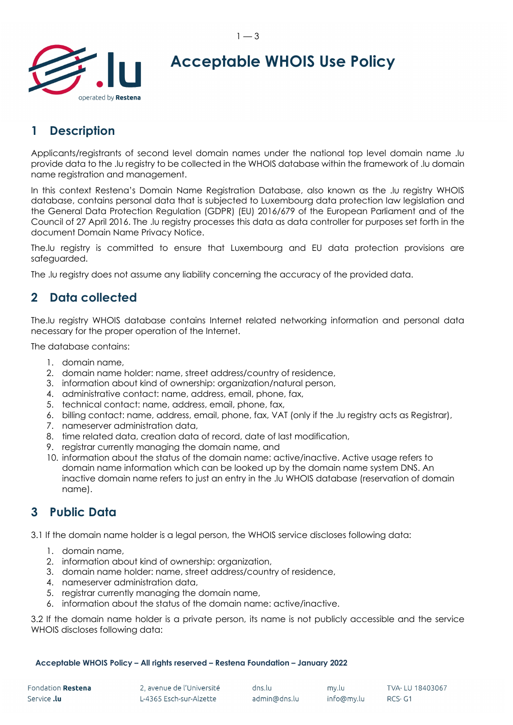

# **Acceptable WHOIS Use Policy**

## **1 Description**

Applicants/registrants of second level domain names under the national top level domain name .lu provide data to the .lu registry to be collected in the WHOIS database within the framework of .lu domain name registration and management.

In this context Restena's Domain Name Registration Database, also known as the .lu registry WHOIS database, contains personal data that is subjected to Luxembourg data protection law legislation and the General Data Protection Regulation (GDPR) (EU) 2016/679 of the European Parliament and of the Council of 27 April 2016. The .lu registry processes this data as data controller for purposes set forth in the document Domain Name Privacy Notice.

The.lu registry is committed to ensure that Luxembourg and EU data protection provisions are safeguarded.

The .lu registry does not assume any liability concerning the accuracy of the provided data.

#### **2 Data collected**

The.lu registry WHOIS database contains Internet related networking information and personal data necessary for the proper operation of the Internet.

The database contains:

- 1. domain name,
- 2. domain name holder: name, street address/country of residence,
- 3. information about kind of ownership: organization/natural person,
- 4. administrative contact: name, address, email, phone, fax,
- 5. technical contact: name, address, email, phone, fax,
- 6. billing contact: name, address, email, phone, fax, VAT (only if the .lu registry acts as Registrar),
- 7. nameserver administration data,
- 8. time related data, creation data of record, date of last modification,
- 9. registrar currently managing the domain name, and
- 10. information about the status of the domain name: active/inactive. Active usage refers to domain name information which can be looked up by the domain name system DNS. An inactive domain name refers to just an entry in the .lu WHOIS database (reservation of domain name).

### **3 Public Data**

3.1 If the domain name holder is a legal person, the WHOIS service discloses following data:

- 1. domain name,
- 2. information about kind of ownership: organization,
- 3. domain name holder: name, street address/country of residence,
- 4. nameserver administration data,
- 5. registrar currently managing the domain name,
- 6. information about the status of the domain name: active/inactive.

3.2 If the domain name holder is a private person, its name is not publicly accessible and the service WHOIS discloses following data:

**Acceptable WHOIS Policy – All rights reserved – Restena Foundation – January 2022**

| Fondation Restena  |  |
|--------------------|--|
| Service <b>.lu</b> |  |

dns.lu admin@dns.lu

my.lu

info@my.lu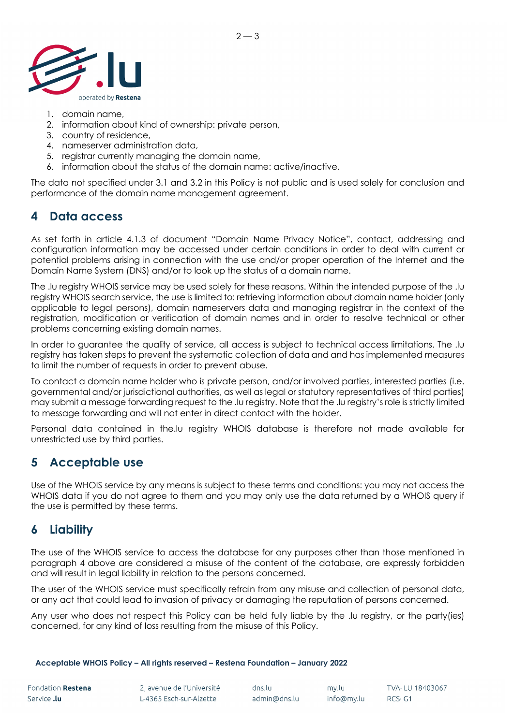

- 1. domain name,
- 2. information about kind of ownership: private person,
- 3. country of residence,
- 4. nameserver administration data,
- 5. registrar currently managing the domain name,
- 6. information about the status of the domain name: active/inactive.

The data not specified under 3.1 and 3.2 in this Policy is not public and is used solely for conclusion and performance of the domain name management agreement.

 $2 - 3$ 

### **4 Data access**

As set forth in article 4.1.3 of document "Domain Name Privacy Notice", contact, addressing and configuration information may be accessed under certain conditions in order to deal with current or potential problems arising in connection with the use and/or proper operation of the Internet and the Domain Name System (DNS) and/or to look up the status of a domain name.

The .lu registry WHOIS service may be used solely for these reasons. Within the intended purpose of the .lu registry WHOIS search service, the use is limited to: retrieving information about domain name holder (only applicable to legal persons), domain nameservers data and managing registrar in the context of the registration, modification or verification of domain names and in order to resolve technical or other problems concerning existing domain names.

In order to guarantee the quality of service, all access is subject to technical access limitations. The .lu registry has taken steps to prevent the systematic collection of data and and has implemented measures to limit the number of requests in order to prevent abuse.

To contact a domain name holder who is private person, and/or involved parties, interested parties (i.e. governmental and/or jurisdictional authorities, as well as legal or statutory representatives of third parties) may submit a message forwarding request to the .lu registry. Note that the .lu registry's role is strictly limited to message forwarding and will not enter in direct contact with the holder.

Personal data contained in the.lu registry WHOIS database is therefore not made available for unrestricted use by third parties.

### **5 Acceptable use**

Use of the WHOIS service by any means is subject to these terms and conditions: you may not access the WHOIS data if you do not agree to them and you may only use the data returned by a WHOIS query if the use is permitted by these terms.

#### **6 Liability**

The use of the WHOIS service to access the database for any purposes other than those mentioned in paragraph 4 above are considered a misuse of the content of the database, are expressly forbidden and will result in legal liability in relation to the persons concerned.

The user of the WHOIS service must specifically refrain from any misuse and collection of personal data, or any act that could lead to invasion of privacy or damaging the reputation of persons concerned.

Any user who does not respect this Policy can be held fully liable by the .lu registry, or the party(ies) concerned, for any kind of loss resulting from the misuse of this Policy.

#### **Acceptable WHOIS Policy – All rights reserved – Restena Foundation – January 2022**

my.lu